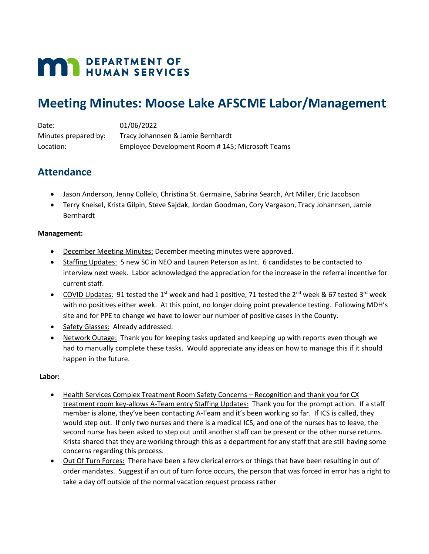# **MAY DEPARTMENT OF HUMAN SERVICES**

## **Meeting Minutes: Moose Lake AFSCME Labor/Management**

| Date:                | 01/06/2022                                      |
|----------------------|-------------------------------------------------|
| Minutes prepared by: | Tracy Johannsen & Jamie Bernhardt               |
| Location:            | Employee Development Room #145; Microsoft Teams |

## **Attendance**

- Jason Anderson, Jenny Collelo, Christina St. Germaine, Sabrina Search, Art Miller, Eric Jacobson
- Terry Kneisel, Krista Gilpin, Steve Sajdak, Jordan Goodman, Cory Vargason, Tracy Johannsen, Jamie Bernhardt

### **Management:**

- December Meeting Minutes: December meeting minutes were approved.
- Staffing Updates: 5 new SC in NEO and Lauren Peterson as Int. 6 candidates to be contacted to interview next week. Labor acknowledged the appreciation for the increase in the referral incentive for current staff.
- COVID Updates: 91 tested the 1<sup>st</sup> week and had 1 positive, 71 tested the 2<sup>nd</sup> week & 67 tested 3<sup>rd</sup> week with no positives either week. At this point, no longer doing point prevalence testing. Following MDH's site and for PPE to change we have to lower our number of positive cases in the County.
- Safety Glasses: Already addressed.
- Network Outage: Thank you for keeping tasks updated and keeping up with reports even though we had to manually complete these tasks. Would appreciate any ideas on how to manage this if it should happen in the future.

### **Labor:**

- Health Services Complex Treatment Room Safety Concerns Recognition and thank you for CX treatment room key-allows A-Team entry Staffing Updates: Thank you for the prompt action. If a staff member is alone, they've been contacting A-Team and it's been working so far. If ICS is called, they would step out. If only two nurses and there is a medical ICS, and one of the nurses has to leave, the second nurse has been asked to step out until another staff can be present or the other nurse returns. Krista shared that they are working through this as a department for any staff that are still having some concerns regarding this process.
- Out Of Turn Forces: There have been a few clerical errors or things that have been resulting in out of order mandates. Suggest if an out of turn force occurs, the person that was forced in error has a right to take a day off outside of the normal vacation request process rather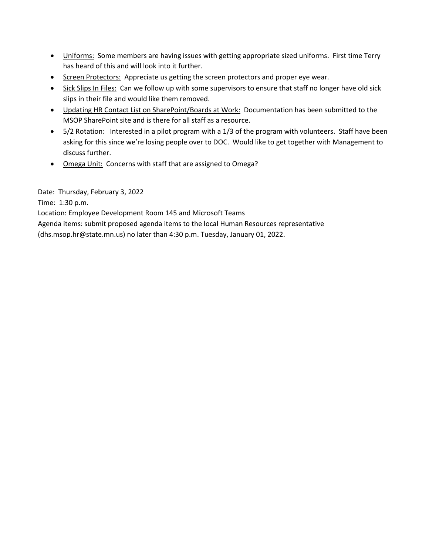- Uniforms: Some members are having issues with getting appropriate sized uniforms. First time Terry has heard of this and will look into it further.
- Screen Protectors: Appreciate us getting the screen protectors and proper eye wear.
- Sick Slips In Files: Can we follow up with some supervisors to ensure that staff no longer have old sick slips in their file and would like them removed.
- Updating HR Contact List on SharePoint/Boards at Work: Documentation has been submitted to the MSOP SharePoint site and is there for all staff as a resource.
- 5/2 Rotation: Interested in a pilot program with a 1/3 of the program with volunteers. Staff have been asking for this since we're losing people over to DOC. Would like to get together with Management to discuss further.
- Omega Unit: Concerns with staff that are assigned to Omega?

Date: Thursday, February 3, 2022

Time: 1:30 p.m.

Location: Employee Development Room 145 and Microsoft Teams

Agenda items: submit proposed agenda items to the local Human Resources representative

(dhs.msop.hr@state.mn.us) no later than 4:30 p.m. Tuesday, January 01, 2022.